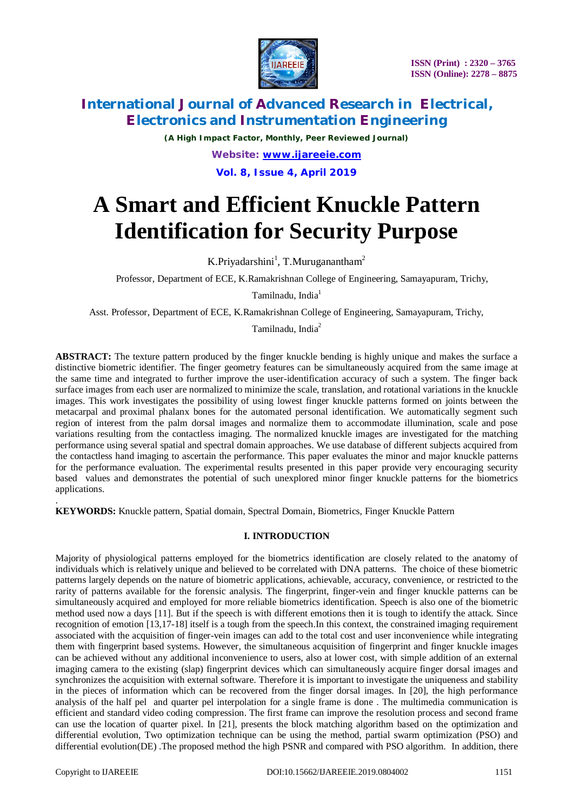

*(A High Impact Factor, Monthly, Peer Reviewed Journal) Website: [www.ijareeie.com](http://www.ijareeie.com)* **Vol. 8, Issue 4, April 2019**

# **A Smart and Efficient Knuckle Pattern Identification for Security Purpose**

K.Priyadarshini<sup>1</sup>, T.Muruganantham<sup>2</sup>

Professor, Department of ECE, K.Ramakrishnan College of Engineering, Samayapuram, Trichy,

Tamilnadu, India<sup>1</sup>

Asst. Professor, Department of ECE, K.Ramakrishnan College of Engineering, Samayapuram, Trichy,

Tamilnadu, India<sup>2</sup>

**ABSTRACT:** The texture pattern produced by the finger knuckle bending is highly unique and makes the surface a distinctive biometric identifier. The finger geometry features can be simultaneously acquired from the same image at the same time and integrated to further improve the user-identification accuracy of such a system. The finger back surface images from each user are normalized to minimize the scale, translation, and rotational variations in the knuckle images. This work investigates the possibility of using lowest finger knuckle patterns formed on joints between the metacarpal and proximal phalanx bones for the automated personal identification. We automatically segment such region of interest from the palm dorsal images and normalize them to accommodate illumination, scale and pose variations resulting from the contactless imaging. The normalized knuckle images are investigated for the matching performance using several spatial and spectral domain approaches. We use database of different subjects acquired from the contactless hand imaging to ascertain the performance. This paper evaluates the minor and major knuckle patterns for the performance evaluation. The experimental results presented in this paper provide very encouraging security based values and demonstrates the potential of such unexplored minor finger knuckle patterns for the biometrics applications.

. **KEYWORDS:** Knuckle pattern, Spatial domain, Spectral Domain, Biometrics, Finger Knuckle Pattern

#### **I. INTRODUCTION**

Majority of physiological patterns employed for the biometrics identification are closely related to the anatomy of individuals which is relatively unique and believed to be correlated with DNA patterns. The choice of these biometric patterns largely depends on the nature of biometric applications, achievable, accuracy, convenience, or restricted to the rarity of patterns available for the forensic analysis. The fingerprint, finger-vein and finger knuckle patterns can be simultaneously acquired and employed for more reliable biometrics identification. Speech is also one of the biometric method used now a days [11]. But if the speech is with different emotions then it is tough to identify the attack. Since recognition of emotion [13,17-18] itself is a tough from the speech.In this context, the constrained imaging requirement associated with the acquisition of finger-vein images can add to the total cost and user inconvenience while integrating them with fingerprint based systems. However, the simultaneous acquisition of fingerprint and finger knuckle images can be achieved without any additional inconvenience to users, also at lower cost, with simple addition of an external imaging camera to the existing (slap) fingerprint devices which can simultaneously acquire finger dorsal images and synchronizes the acquisition with external software. Therefore it is important to investigate the uniqueness and stability in the pieces of information which can be recovered from the finger dorsal images. In [20], the high performance analysis of the half pel and quarter pel interpolation for a single frame is done . The multimedia communication is efficient and standard video coding compression. The first frame can improve the resolution process and second frame can use the location of quarter pixel. In [21], presents the block matching algorithm based on the optimization and differential evolution, Two optimization technique can be using the method, partial swarm optimization (PSO) and differential evolution(DE). The proposed method the high PSNR and compared with PSO algorithm. In addition, there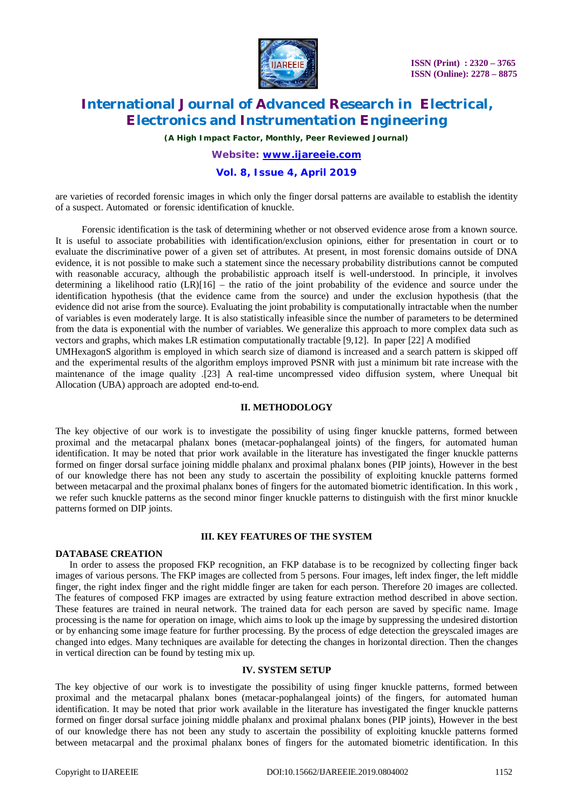

*(A High Impact Factor, Monthly, Peer Reviewed Journal)*

## *Website: [www.ijareeie.com](http://www.ijareeie.com)* **Vol. 8, Issue 4, April 2019**

are varieties of recorded forensic images in which only the finger dorsal patterns are available to establish the identity of a suspect. Automated or forensic identification of knuckle.

 Forensic identification is the task of determining whether or not observed evidence arose from a known source. It is useful to associate probabilities with identification/exclusion opinions, either for presentation in court or to evaluate the discriminative power of a given set of attributes. At present, in most forensic domains outside of DNA evidence, it is not possible to make such a statement since the necessary probability distributions cannot be computed with reasonable accuracy, although the probabilistic approach itself is well-understood. In principle, it involves determining a likelihood ratio  $(LR)[16]$  – the ratio of the joint probability of the evidence and source under the identification hypothesis (that the evidence came from the source) and under the exclusion hypothesis (that the evidence did not arise from the source). Evaluating the joint probability is computationally intractable when the number of variables is even moderately large. It is also statistically infeasible since the number of parameters to be determined from the data is exponential with the number of variables. We generalize this approach to more complex data such as vectors and graphs, which makes LR estimation computationally tractable [9,12]. In paper [22] A modified UMHexagonS algorithm is employed in which search size of diamond is increased and a search pattern is skipped off and the experimental results of the algorithm employs improved PSNR with just a minimum bit rate increase with the

maintenance of the image quality .[23] A real-time uncompressed video diffusion system, where Unequal bit Allocation (UBA) approach are adopted end-to-end.

#### **II. METHODOLOGY**

The key objective of our work is to investigate the possibility of using finger knuckle patterns, formed between proximal and the metacarpal phalanx bones (metacar-pophalangeal joints) of the fingers, for automated human identification. It may be noted that prior work available in the literature has investigated the finger knuckle patterns formed on finger dorsal surface joining middle phalanx and proximal phalanx bones (PIP joints), However in the best of our knowledge there has not been any study to ascertain the possibility of exploiting knuckle patterns formed between metacarpal and the proximal phalanx bones of fingers for the automated biometric identification. In this work , we refer such knuckle patterns as the second minor finger knuckle patterns to distinguish with the first minor knuckle patterns formed on DIP joints.

#### **III. KEY FEATURES OF THE SYSTEM**

#### **DATABASE CREATION**

 In order to assess the proposed FKP recognition, an FKP database is to be recognized by collecting finger back images of various persons. The FKP images are collected from 5 persons. Four images, left index finger, the left middle finger, the right index finger and the right middle finger are taken for each person. Therefore 20 images are collected. The features of composed FKP images are extracted by using feature extraction method described in above section. These features are trained in neural network. The trained data for each person are saved by specific name. Image processing is the name for operation on image, which aims to look up the image by suppressing the undesired distortion or by enhancing some image feature for further processing. By the process of edge detection the greyscaled images are changed into edges. Many techniques are available for detecting the changes in horizontal direction. Then the changes in vertical direction can be found by testing mix up.

#### **IV. SYSTEM SETUP**

The key objective of our work is to investigate the possibility of using finger knuckle patterns, formed between proximal and the metacarpal phalanx bones (metacar-pophalangeal joints) of the fingers, for automated human identification. It may be noted that prior work available in the literature has investigated the finger knuckle patterns formed on finger dorsal surface joining middle phalanx and proximal phalanx bones (PIP joints), However in the best of our knowledge there has not been any study to ascertain the possibility of exploiting knuckle patterns formed between metacarpal and the proximal phalanx bones of fingers for the automated biometric identification. In this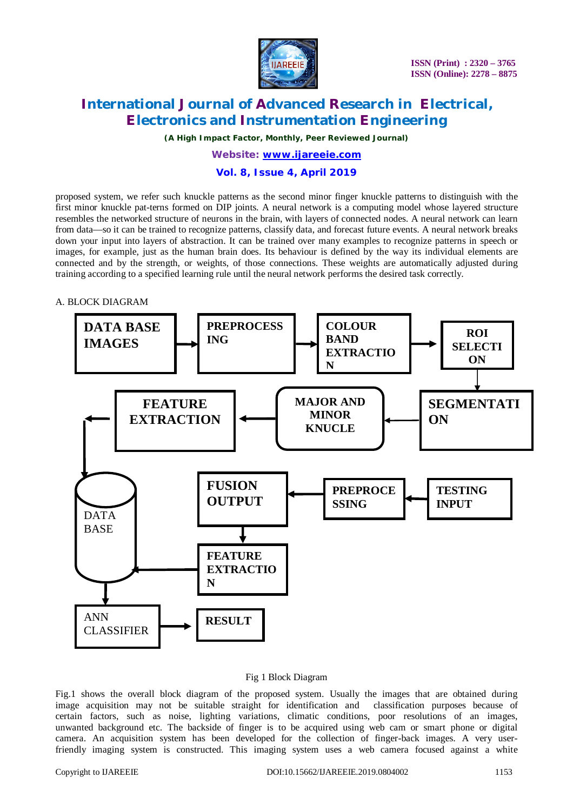

*(A High Impact Factor, Monthly, Peer Reviewed Journal)*

## *Website: [www.ijareeie.com](http://www.ijareeie.com)*

#### **Vol. 8, Issue 4, April 2019**

proposed system, we refer such knuckle patterns as the second minor finger knuckle patterns to distinguish with the first minor knuckle pat-terns formed on DIP joints. A neural network is a computing model whose layered structure resembles the networked structure of neurons in the brain, with layers of connected nodes. A neural network can learn from data—so it can be trained to recognize patterns, classify data, and forecast future events. A neural network breaks down your input into layers of abstraction. It can be trained over many examples to recognize patterns in speech or images, for example, just as the human brain does. Its behaviour is defined by the way its individual elements are connected and by the strength, or weights, of those connections. These weights are automatically adjusted during training according to a specified learning rule until the neural network performs the desired task correctly.

#### A. BLOCK DIAGRAM



#### Fig 1 Block Diagram

Fig.1 shows the overall block diagram of the proposed system. Usually the images that are obtained during image acquisition may not be suitable straight for identification and classification purposes because of certain factors, such as noise, lighting variations, climatic conditions, poor resolutions of an images, unwanted background etc. The backside of finger is to be acquired using web cam or smart phone or digital camera. An acquisition system has been developed for the collection of finger-back images. A very userfriendly imaging system is constructed. This imaging system uses a web camera focused against a white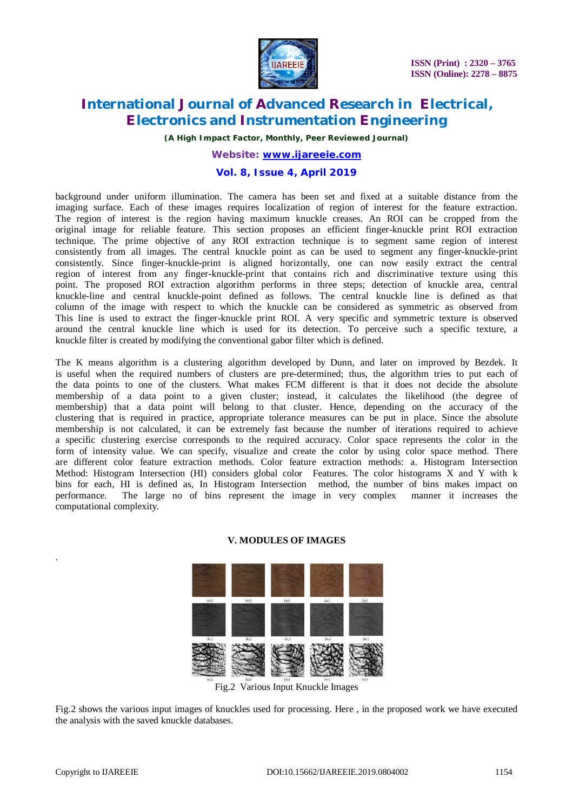

*(A High Impact Factor, Monthly, Peer Reviewed Journal)*

## *Website: [www.ijareeie.com](http://www.ijareeie.com)* **Vol. 8, Issue 4, April 2019**

background under uniform illumination. The camera has been set and fixed at a suitable distance from the imaging surface. Each of these images requires localization of region of interest for the feature extraction. The region of interest is the region having maximum knuckle creases. An ROI can be cropped from the original image for reliable feature. This section proposes an efficient finger-knuckle print ROI extraction technique. The prime objective of any ROI extraction technique is to segment same region of interest consistently from all images. The central knuckle point as can be used to segment any finger-knuckle-print consistently. Since finger-knuckle-print is aligned horizontally, one can now easily extract the central region of interest from any finger-knuckle-print that contains rich and discriminative texture using this point. The proposed ROI extraction algorithm performs in three steps; detection of knuckle area, central knuckle-line and central knuckle-point defined as follows. The central knuckle line is defined as that column of the image with respect to which the knuckle can be considered as symmetric as observed from This line is used to extract the finger-knuckle print ROI. A very specific and symmetric texture is observed around the central knuckle line which is used for its detection. To perceive such a specific texture, a knuckle filter is created by modifying the conventional gabor filter which is defined.

The K means algorithm is a clustering algorithm developed by Dunn, and later on improved by Bezdek. It is useful when the required numbers of clusters are pre-determined; thus, the algorithm tries to put each of the data points to one of the clusters. What makes FCM different is that it does not decide the absolute membership of a data point to a given cluster; instead, it calculates the likelihood (the degree of membership) that a data point will belong to that cluster. Hence, depending on the accuracy of the clustering that is required in practice, appropriate tolerance measures can be put in place. Since the absolute membership is not calculated, it can be extremely fast because the number of iterations required to achieve a specific clustering exercise corresponds to the required accuracy. Color space represents the color in the form of intensity value. We can specify, visualize and create the color by using color space method. There are different color feature extraction methods. Color feature extraction methods: a. Histogram Intersection Method: Histogram Intersection (HI) considers global color Features. The color histograms X and Y with k bins for each, HI is defined as, In Histogram Intersection method, the number of bins makes impact on performance. The large no of bins represent the image in very complex manner it increases the computational complexity.

# **V. MODULES OF IMAGES**



Fig.2 Various Input Knuckle Images

Fig.2 shows the various input images of knuckles used for processing. Here , in the proposed work we have executed the analysis with the saved knuckle databases.

.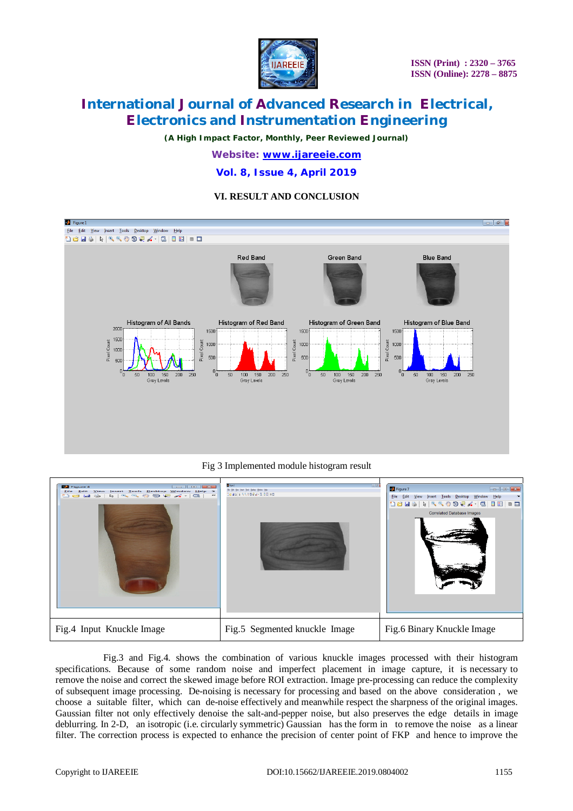

*(A High Impact Factor, Monthly, Peer Reviewed Journal) Website: [www.ijareeie.com](http://www.ijareeie.com)*

**Vol. 8, Issue 4, April 2019**

#### **VI. RESULT AND CONCLUSION**



Fig 3 Implemented module histogram result

| <b>Ba</b> Figure 4<br>$\sim$ $\sim$ $\sim$ $\sim$<br>Eile Edit View Insert Tools Desktop Window Help ><br>マーアル じめた トーロ<br>$\sim$ a a $\sim$ $\sim$<br>$\rightarrow$ | B Face)<br>1889999408898      | <b>D</b> Figure 7<br>$  \sqrt{x}$<br>View Insert Tools Desktop Window Help<br>File<br>Edit<br>1853   R   R R & O Q X -   Q   B   B   B   B<br><b>Correlated Database Images</b> |
|---------------------------------------------------------------------------------------------------------------------------------------------------------------------|-------------------------------|---------------------------------------------------------------------------------------------------------------------------------------------------------------------------------|
| Fig.4 Input Knuckle Image                                                                                                                                           | Fig.5 Segmented knuckle Image | Fig.6 Binary Knuckle Image                                                                                                                                                      |

 Fig.3 and Fig.4. shows the combination of various knuckle images processed with their histogram specifications. Because of some random noise and imperfect placement in image capture, it is necessary to remove the noise and correct the skewed image before ROI extraction. Image pre-processing can reduce the complexity of subsequent image processing. De-noising is necessary for processing and based on the above consideration , we choose a suitable filter, which can de-noise effectively and meanwhile respect the sharpness of the original images. Gaussian filter not only effectively denoise the salt-and-pepper noise, but also preserves the edge details in image deblurring. In 2-D, an isotropic (i.e. circularly symmetric) Gaussian has the form in to remove the noise as a linear filter. The correction process is expected to enhance the precision of center point of FKP and hence to improve the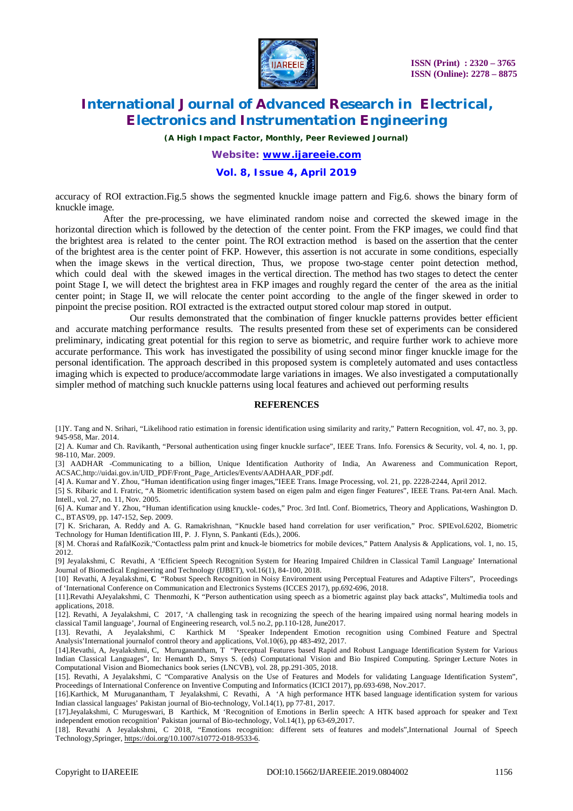

*(A High Impact Factor, Monthly, Peer Reviewed Journal)*

## *Website: [www.ijareeie.com](http://www.ijareeie.com)*

#### **Vol. 8, Issue 4, April 2019**

accuracy of ROI extraction.Fig.5 shows the segmented knuckle image pattern and Fig.6. shows the binary form of knuckle image.

After the pre-processing, we have eliminated random noise and corrected the skewed image in the horizontal direction which is followed by the detection of the center point. From the FKP images, we could find that the brightest area is related to the center point. The ROI extraction method is based on the assertion that the center of the brightest area is the center point of FKP. However, this assertion is not accurate in some conditions, especially when the image skews in the vertical direction, Thus, we propose two-stage center point detection method, which could deal with the skewed images in the vertical direction. The method has two stages to detect the center point Stage I, we will detect the brightest area in FKP images and roughly regard the center of the area as the initial center point; in Stage II, we will relocate the center point according to the angle of the finger skewed in order to pinpoint the precise position. ROI extracted is the extracted output stored colour map stored in output.

 Our results demonstrated that the combination of finger knuckle patterns provides better efficient and accurate matching performance results. The results presented from these set of experiments can be considered preliminary, indicating great potential for this region to serve as biometric, and require further work to achieve more accurate performance. This work has investigated the possibility of using second minor finger knuckle image for the personal identification. The approach described in this proposed system is completely automated and uses contactless imaging which is expected to produce/accommodate large variations in images. We also investigated a computationally simpler method of matching such knuckle patterns using local features and achieved out performing results

#### **REFERENCES**

[1]Y. Tang and N. Srihari, "Likelihood ratio estimation in forensic identification using similarity and rarity," Pattern Recognition, vol. 47, no. 3, pp. 945-958, Mar. 2014.

[2] A. Kumar and Ch. Ravikanth, "Personal authentication using finger knuckle surface", IEEE Trans. Info. Forensics & Security, vol. 4, no. 1, pp. 98-110, Mar. 2009.

[3] AADHAR -Communicating to a billion, Unique Identification Authority of India, An Awareness and Communication Report, ACSAC,[http://uidai.gov.in/UID\\_PDF/Front\\_Page\\_Articles/Events/AADHAAR\\_PDF.pdf.](http://uidai.gov.in/UID_PDF/Front_Page_Articles/Events/AADHAAR_PDF.pdf.)

[4] A. Kumar and Y. Zhou, "Human identification using finger images,"IEEE Trans. Image Processing, vol. 21, pp. 2228-2244, April 2012.

[5] S. Ribaric and I. Fratric, "A Biometric identification system based on eigen palm and eigen finger Features", IEEE Trans. Pat-tern Anal. Mach. Intell., vol. 27, no. 11, Nov. 2005.

[6] A. Kumar and Y. Zhou, "Human identification using knuckle- codes," Proc. 3rd Intl. Conf. Biometrics, Theory and Applications, Washington D. C., BTAS'09, pp. 147-152, Sep. 2009.

[7] K. Sricharan, A. Reddy and A. G. Ramakrishnan, "Knuckle based hand correlation for user verification," Proc. SPIEvol.6202, Biometric Technology for Human Identification III, P. J. Flynn, S. Pankanti (Eds.), 2006.

[8] M. Choraś and RafałKozik,"Contactless palm print and knuck-le biometrics for mobile devices," Pattern Analysis & Applications, vol. 1, no. 15, 2012.

[9] Jeyalakshmi, C Revathi, A 'Efficient Speech Recognition System for Hearing Impaired Children in Classical Tamil Language' International Journal of Biomedical Engineering and Technology (IJBET), vol.16(1), 84-100, 2018.

[10] Revathi, A Jeyalakshmi, **C** "Robust Speech Recognition in Noisy Environment using Perceptual Features and Adaptive Filters", Proceedings of 'International Conference on Communication and Electronics Systems (ICCES 2017), pp.692-696, 2018.

[11].Revathi AJeyalakshmi, C Thenmozhi, K "Person authentication using speech as a biometric against play back attacks", Multimedia tools and applications, 2018.

[12]. Revathi, A Jeyalakshmi, C 2017, 'A challenging task in recognizing the speech of the hearing impaired using normal hearing models in classical Tamil language', Journal of Engineering research, vol.5 no.2, pp.110-128, June2017.

[13]. Revathi, A Jeyalakshmi, C Karthick M 'Speaker Independent Emotion recognition using Combined Feature and Spectral Analysis'International journalof control theory and applications, Vol.10(6), pp 483-492, 2017.

[14].Revathi, A, Jeyalakshmi, C, Muruganantham, T "Perceptual Features based Rapid and Robust Language Identification System for Various Indian Classical Languages", In: Hemanth D., Smys S. (eds) Computational Vision and Bio Inspired Computing. Springer Lecture Notes in Computational Vision and Biomechanics book series (LNCVB), vol. 28, pp.291-305, 2018.

[15]. Revathi, A Jeyalakshmi, C "Comparative Analysis on the Use of Features and Models for validating Language Identification System", Proceedings of International Conference on Inventive Computing and Informatics (ICICI 2017), pp.693-698, Nov.2017.

[16].Karthick, M Muruganantham, T Jeyalakshmi, C Revathi, A 'A high performance HTK based language identification system for various Indian classical languages' Pakistan journal of Bio-technology, Vol.14(1), pp 77-81, 2017.

[17].Jeyalakshmi, C Murugeswari, B Karthick, M 'Recognition of Emotions in Berlin speech: A HTK based approach for speaker and Text independent emotion recognition' Pakistan journal of Bio-technology, Vol.14(1), pp 63-69,2017.

[18]. Revathi A Jeyalakshmi, C 2018, "Emotions recognition: different sets of features and models",International Journal of Speech Technology,Springer,<https://doi.org/10.1007/s10772-018-9533-6.>